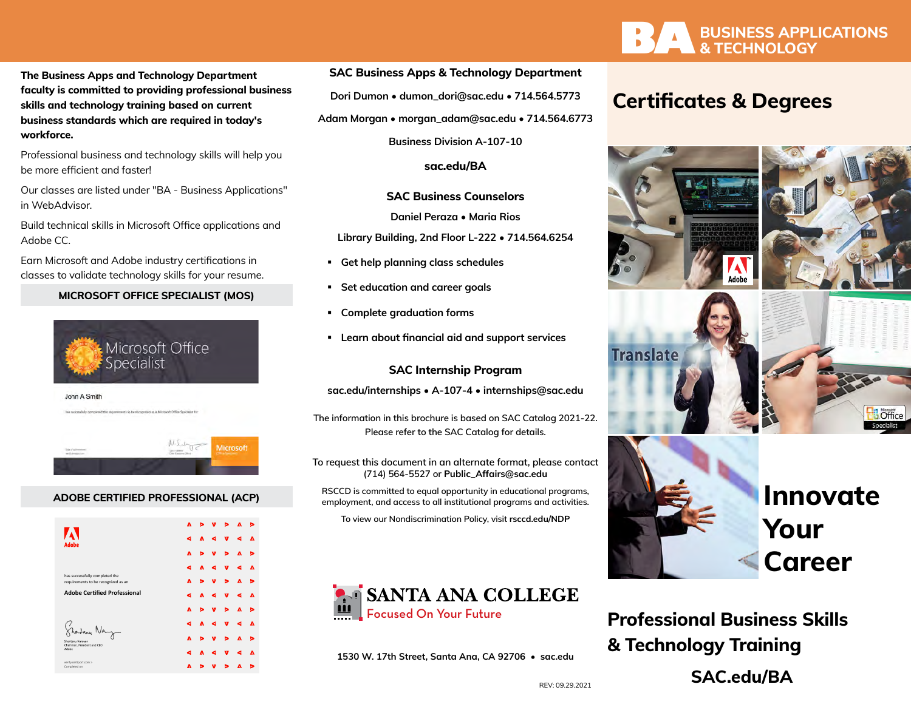**The Business Apps and Technology Department faculty is committed to providing professional business skills and technology training based on current business standards which are required in today's workforce.**

Professional business and technology skills will help you be more efficient and faster!

Our classes are listed under "BA - Business Applications" in WebAdvisor.

Build technical skills in Microsoft Office applications and Adobe CC.

Earn Microsoft and Adobe industry certifications in classes to validate technology skills for your resume.

## **MICROSOFT OFFICE SPECIALIST (MOS)**



### **ADOBE CERTIFIED PROFESSIONAL (ACP)**

| <b>Adobe</b>                                                          | A |   |   | ь | A | , |
|-----------------------------------------------------------------------|---|---|---|---|---|---|
|                                                                       | d | Δ | 6 | v | c | Δ |
|                                                                       | A |   | ν | ь | A | ь |
|                                                                       |   | ٨ | c | v |   | A |
| has successfully completed the<br>requirements to be recognized as an | A |   | v | ь | A | ь |
| <b>Adobe Certified Professional</b><br>Shantanu Narayen               | a | A | c | v | a | Δ |
|                                                                       | A |   | v | ь | A | ь |
|                                                                       | d | л | c | v | c | A |
|                                                                       | A |   | v | ь | A | ь |
| Chairman, President and CEO<br>Adobe                                  | a | A |   | v |   | Δ |
| verify.certiport.com ><br>Completed on                                | A |   |   |   | A | ⋗ |

### **SAC Business Apps & Technology Department**

**Dori Dumon • [dumon\\_dori@sac.edu](mailto:dumon_dori%40sac.edu?subject=) • 714.564.5773**

**Adam Morgan • [morgan\\_adam@sac.edu](mailto:morgan_adam%40sac.edu?subject=) • 714.564.6773**

**Business Division A-107-10**

**[sac.edu/BA](http://sac.edu/BA)**

### **SAC Business Counselors**

**Daniel Peraza • Maria Rios** 

**Library Building, 2nd Floor L-222 • 714.564.6254**

- **Get help planning class schedules**
- **Set education and career goals**
- **Complete graduation forms**
- **Learn about financial aid and support services**

### **SAC Internship Program**

**[sac.edu/internships](http://sac.edu/internships) • A-107-4 • [internships@sac.edu](mailto:internships%40sac.edu?subject=)**

**The information in this brochure is based on SAC Catalog 2021-22. Please refer to the SAC Catalog for details.**

**To request this document in an alternate format, please contact (714) 564-5527 or [Public\\_Affairs@sac.edu](mailto:Public_Affairs%40sac.edu?subject=)**

**RSCCD is committed to equal opportunity in educational programs, employment, and access to all institutional programs and activities.** 

**To view our Nondiscrimination Policy, visit [rsccd.edu/NDP](http://rsccd.edu/NDP)**



**1530 W. 17th Street, Santa Ana, CA 92706 • sac.edu**



## **Certificates & Degrees**



**Professional Business Skills & Technology Training [SAC.edu/BA](http://SAC.edu/BA)**